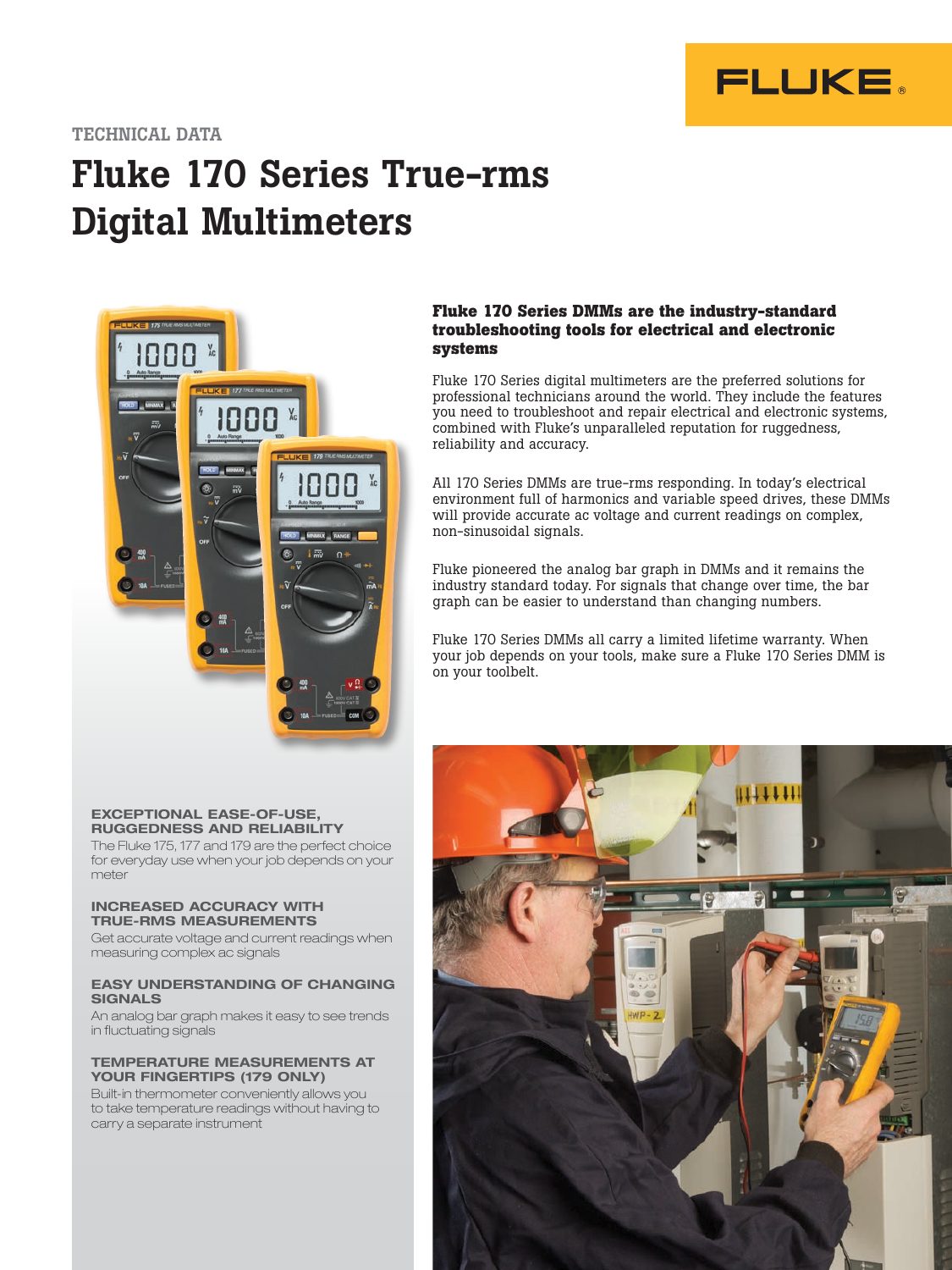

### TECHNICAL DATA

# Fluke 170 Series True-rms Digital Multimeters



#### **Fluke 170 Series DMMs are the industry-standard troubleshooting tools for electrical and electronic systems**

Fluke 170 Series digital multimeters are the preferred solutions for professional technicians around the world. They include the features you need to troubleshoot and repair electrical and electronic systems, combined with Fluke's unparalleled reputation for ruggedness, reliability and accuracy.

All 170 Series DMMs are true-rms responding. In today's electrical environment full of harmonics and variable speed drives, these DMMs will provide accurate ac voltage and current readings on complex, non-sinusoidal signals.

Fluke pioneered the analog bar graph in DMMs and it remains the industry standard today. For signals that change over time, the bar graph can be easier to understand than changing numbers.

Fluke 170 Series DMMs all carry a limited lifetime warranty. When your job depends on your tools, make sure a Fluke 170 Series DMM is on your toolbelt.

#### EXCEPTIONAL EASE-OF-USE, RUGGEDNESS AND RELIABILITY

The Fluke 175, 177 and 179 are the perfect choice for everyday use when your job depends on your meter

#### INCREASED ACCURACY WITH TRUE-RMS MEASUREMENTS

Get accurate voltage and current readings when measuring complex ac signals

#### EASY UNDERSTANDING OF CHANGING SIGNALS

An analog bar graph makes it easy to see trends in fluctuating signals

#### TEMPERATURE MEASUREMENTS AT YOUR FINGERTIPS (179 ONLY)

Built-in thermometer conveniently allows you to take temperature readings without having to carry a separate instrument

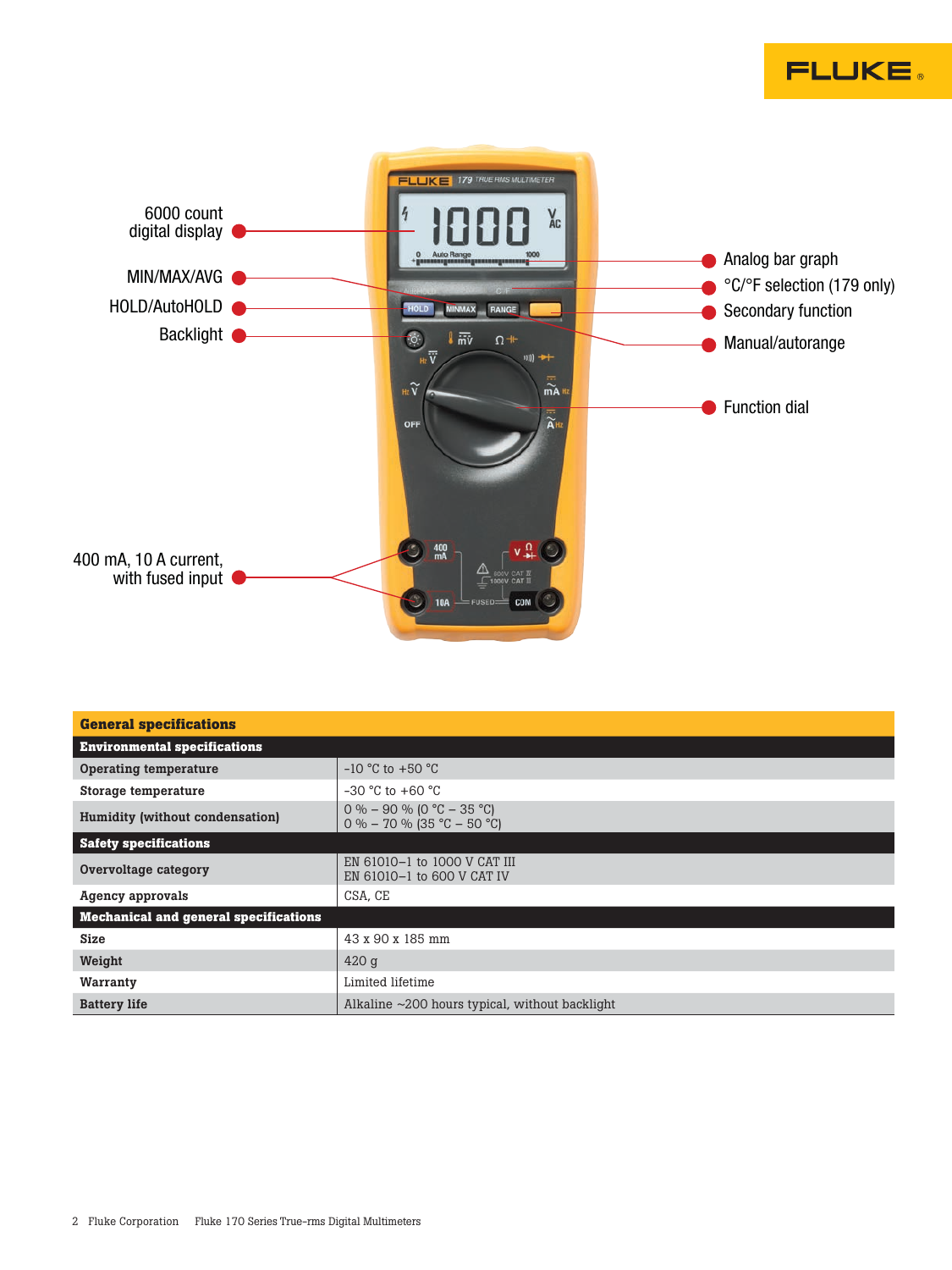



| <b>General specifications</b>         |                                                             |  |  |  |  |
|---------------------------------------|-------------------------------------------------------------|--|--|--|--|
| <b>Environmental specifications</b>   |                                                             |  |  |  |  |
| Operating temperature                 | $-10$ °C to $+50$ °C                                        |  |  |  |  |
| Storage temperature                   | $-30$ °C to $+60$ °C                                        |  |  |  |  |
| Humidity (without condensation)       | $0\% - 90\%$ (0 °C - 35 °C)<br>$0\% - 70\%$ (35 °C – 50 °C) |  |  |  |  |
| <b>Safety specifications</b>          |                                                             |  |  |  |  |
| Overvoltage category                  | EN 61010-1 to 1000 V CAT III<br>EN 61010-1 to 600 V CAT IV  |  |  |  |  |
| Agency approvals                      | CSA, CE                                                     |  |  |  |  |
| Mechanical and general specifications |                                                             |  |  |  |  |
| Size                                  | 43 x 90 x 185 mm                                            |  |  |  |  |
| Weight                                | $420$ g                                                     |  |  |  |  |
| Warranty                              | Limited lifetime                                            |  |  |  |  |
| <b>Battery life</b>                   | Alkaline $\sim$ 200 hours typical, without backlight        |  |  |  |  |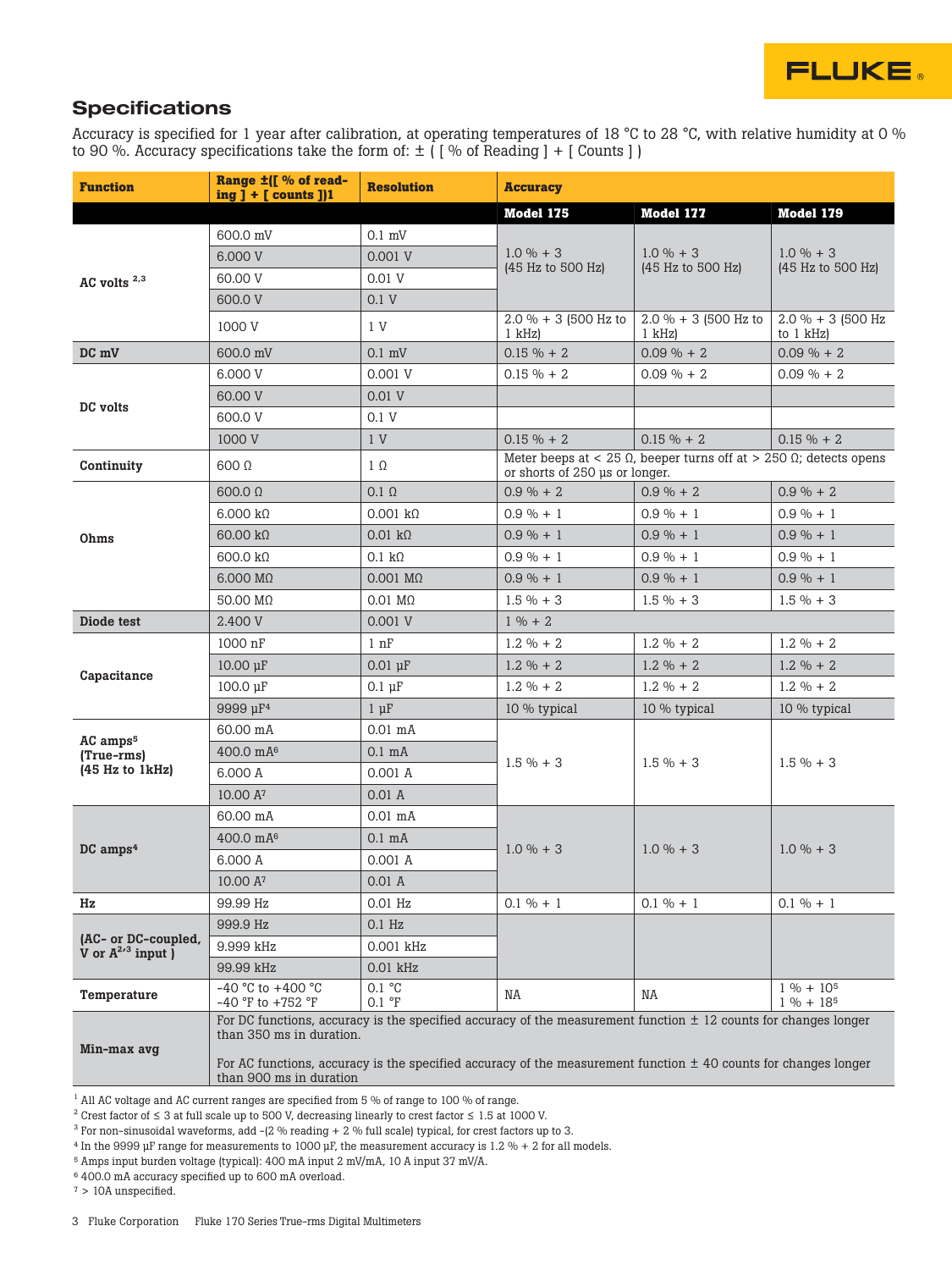

# **Specifications**

Accuracy is specified for 1 year after calibration, at operating temperatures of 18 °C to 28 °C, with relative humidity at 0 % to 90 %. Accuracy specifications take the form of:  $\pm$  ( $\lceil$  % of Reading  $\rceil$  +  $\lceil$  Counts  $\rceil$ )

| <b>Function</b>                                            | Range ±([ % of read-<br>$ing$ ] + [ counts ])1                                                                                                  | <b>Resolution</b>                                                                                                   | <b>Accuracy</b>                                                                                                     |                                   |                                      |  |
|------------------------------------------------------------|-------------------------------------------------------------------------------------------------------------------------------------------------|---------------------------------------------------------------------------------------------------------------------|---------------------------------------------------------------------------------------------------------------------|-----------------------------------|--------------------------------------|--|
|                                                            |                                                                                                                                                 |                                                                                                                     | Model 175                                                                                                           | <b>Model 177</b>                  | Model 179                            |  |
| AC volts <sup>2,3</sup>                                    | 600.0 mV                                                                                                                                        | $0.1$ mV                                                                                                            | $1.0 \% + 3$<br>(45 Hz to 500 Hz)                                                                                   | $1.0 \% + 3$<br>(45 Hz to 500 Hz) | $1.0 \% + 3$<br>(45 Hz to 500 Hz)    |  |
|                                                            | 6,000 V                                                                                                                                         | 0.001V                                                                                                              |                                                                                                                     |                                   |                                      |  |
|                                                            | 60.00 V                                                                                                                                         | 0.01 V                                                                                                              |                                                                                                                     |                                   |                                      |  |
|                                                            | 600.0 V                                                                                                                                         | 0.1V                                                                                                                |                                                                                                                     |                                   |                                      |  |
|                                                            | 1000 V                                                                                                                                          | 1 V                                                                                                                 | $2.0 \% + 3 (500 Hz)$<br>$1$ kHz)                                                                                   | 2.0 % + 3 (500 Hz to<br>$1$ kHz)  | $2.0 \% + 3 (500 Hz)$<br>to $1$ kHz) |  |
| DC mV                                                      | 600.0 mV                                                                                                                                        | $0.1$ mV                                                                                                            | $0.15 \% + 2$                                                                                                       | $0.09 \% + 2$                     | $0.09 \% + 2$                        |  |
|                                                            | 6.000 V                                                                                                                                         | 0.001V                                                                                                              | $0.15 \% + 2$                                                                                                       | $0.09 \% + 2$                     | $0.09 \% + 2$                        |  |
| DC volts                                                   | 60.00 V                                                                                                                                         | 0.01V                                                                                                               |                                                                                                                     |                                   |                                      |  |
|                                                            | 600.0 V                                                                                                                                         | 0.1V                                                                                                                |                                                                                                                     |                                   |                                      |  |
|                                                            | 1000 V                                                                                                                                          | 1 <sub>V</sub>                                                                                                      | $0.15 \% + 2$                                                                                                       | $0.15 \% + 2$                     | $0.15 \% + 2$                        |  |
| Continuity                                                 | $600 \Omega$                                                                                                                                    | $1 \Omega$                                                                                                          | Meter beeps at < 25 $\Omega$ , beeper turns off at > 250 $\Omega$ ; detects opens<br>or shorts of 250 us or longer. |                                   |                                      |  |
| Ohms                                                       | 600.0 Q                                                                                                                                         | $0.1 \Omega$                                                                                                        | $0.9 \% + 2$                                                                                                        | $0.9 \% + 2$                      | $0.9 \% + 2$                         |  |
|                                                            | $6.000 \text{ k}\Omega$                                                                                                                         | 0.001 k                                                                                                             | $0.9\% + 1$                                                                                                         | $0.9 \% + 1$                      | $0.9 \% + 1$                         |  |
|                                                            | $60.00 \text{ k}\Omega$                                                                                                                         | $0.01 \text{ k}\Omega$                                                                                              | $0.9 \% + 1$                                                                                                        | $0.9 \% + 1$                      | $0.9 \% + 1$                         |  |
|                                                            | $600.0 \text{ k}\Omega$                                                                                                                         | $0.1 \text{ k}\Omega$                                                                                               | $0.9 \% + 1$                                                                                                        | $0.9 \% + 1$                      | $0.9 \% + 1$                         |  |
|                                                            | 6.000 MQ                                                                                                                                        | $0.001$ M $\Omega$                                                                                                  | $0.9 \% + 1$                                                                                                        | $0.9 \% + 1$                      | $0.9 \% + 1$                         |  |
|                                                            | 50.00 MQ                                                                                                                                        | $0.01 \text{ M}\Omega$                                                                                              | $1.5 \% + 3$                                                                                                        | $1.5 \% + 3$                      | $1.5 \% + 3$                         |  |
| Diode test                                                 | 2.400 V                                                                                                                                         | 0.001V                                                                                                              | $1\% + 2$                                                                                                           |                                   |                                      |  |
| Capacitance                                                | 1000 nF                                                                                                                                         | 1 nF                                                                                                                | $1.2 \% + 2$                                                                                                        | $1.2 \% + 2$                      | $1.2 \% + 2$                         |  |
|                                                            | $10.00 \mu F$                                                                                                                                   | $0.01 \mu F$                                                                                                        | $1.2 \% + 2$                                                                                                        | $1.2 \% + 2$                      | $1.2 \% + 2$                         |  |
|                                                            | $100.0 \text{ µF}$                                                                                                                              | $0.1 \mu F$                                                                                                         | $1.2 \% + 2$                                                                                                        | $1.2 \% + 2$                      | $1.2 \% + 2$                         |  |
|                                                            | 9999 µF <sup>4</sup>                                                                                                                            | $1 \mu F$                                                                                                           | 10 % typical                                                                                                        | 10 % typical                      | 10 % typical                         |  |
| AC amps <sup>5</sup>                                       | 60.00 mA                                                                                                                                        | $0.01$ mA                                                                                                           |                                                                                                                     | $1.5 \% + 3$                      | $1.5 \% + 3$                         |  |
| (True-rms)<br>(45 Hz to 1kHz)                              | 400.0 mA <sup>6</sup>                                                                                                                           | $0.1 \text{ mA}$                                                                                                    | $1.5 \% + 3$                                                                                                        |                                   |                                      |  |
|                                                            | 6.000 A                                                                                                                                         | 0.001A                                                                                                              |                                                                                                                     |                                   |                                      |  |
|                                                            | 10.00 A <sup>7</sup>                                                                                                                            | 0.01A                                                                                                               |                                                                                                                     |                                   |                                      |  |
| $DC$ amps <sup>4</sup>                                     | 60.00 mA                                                                                                                                        | $0.01$ mA                                                                                                           | $1.0 \% + 3$                                                                                                        | $1.0 \% + 3$                      | $1.0 \% + 3$                         |  |
|                                                            | 400.0 mA <sup>6</sup>                                                                                                                           | $0.1 \text{ mA}$                                                                                                    |                                                                                                                     |                                   |                                      |  |
|                                                            | 6.000 A                                                                                                                                         | 0.001 A                                                                                                             |                                                                                                                     |                                   |                                      |  |
|                                                            | 10.00 A <sup>7</sup>                                                                                                                            | 0.01 A                                                                                                              |                                                                                                                     |                                   |                                      |  |
| Hz                                                         | 99.99 Hz                                                                                                                                        | $0.01$ Hz                                                                                                           | $0.1 \% + 1$                                                                                                        | $0.1 \% + 1$                      | $0.1 \% + 1$                         |  |
|                                                            | 999.9 Hz                                                                                                                                        | $0.1$ Hz                                                                                                            |                                                                                                                     |                                   |                                      |  |
| (AC- or DC-coupled,<br>V or $A^{2/3}$ input $\overline{)}$ | 9.999 kHz                                                                                                                                       | 0.001 kHz                                                                                                           |                                                                                                                     |                                   |                                      |  |
|                                                            | 99.99 kHz                                                                                                                                       | $0.01$ kHz                                                                                                          |                                                                                                                     |                                   |                                      |  |
| Temperature                                                | -40 °C to +400 °C<br>$-40$ °F to $+752$ °F                                                                                                      | 0.1 °C<br>0.1 °F                                                                                                    | NA                                                                                                                  | NA                                | $1\% + 10\%$<br>$1\% + 185$          |  |
| Min-max avg                                                | For DC functions, accuracy is the specified accuracy of the measurement function $\pm$ 12 counts for changes longer<br>than 350 ms in duration. |                                                                                                                     |                                                                                                                     |                                   |                                      |  |
|                                                            | than 900 ms in duration                                                                                                                         | For AC functions, accuracy is the specified accuracy of the measurement function $\pm$ 40 counts for changes longer |                                                                                                                     |                                   |                                      |  |

 $^{\rm 1}$  All AC voltage and AC current ranges are specified from 5 % of range to 100 % of range.

2 Crest factor of ≤ 3 at full scale up to 500 V, decreasing linearly to crest factor ≤ 1.5 at 1000 V.

 $3$  For non-sinusoidal waveforms, add -(2 % reading + 2 % full scale) typical, for crest factors up to 3.

4 In the 9999 μF range for measurements to 1000 μF, the measurement accuracy is 1.2 % + 2 for all models.

5 Amps input burden voltage (typical): 400 mA input 2 mV/mA, 10 A input 37 mV/A.

6 400.0 mA accuracy specified up to 600 mA overload.

 $7 > 10A$  unspecified.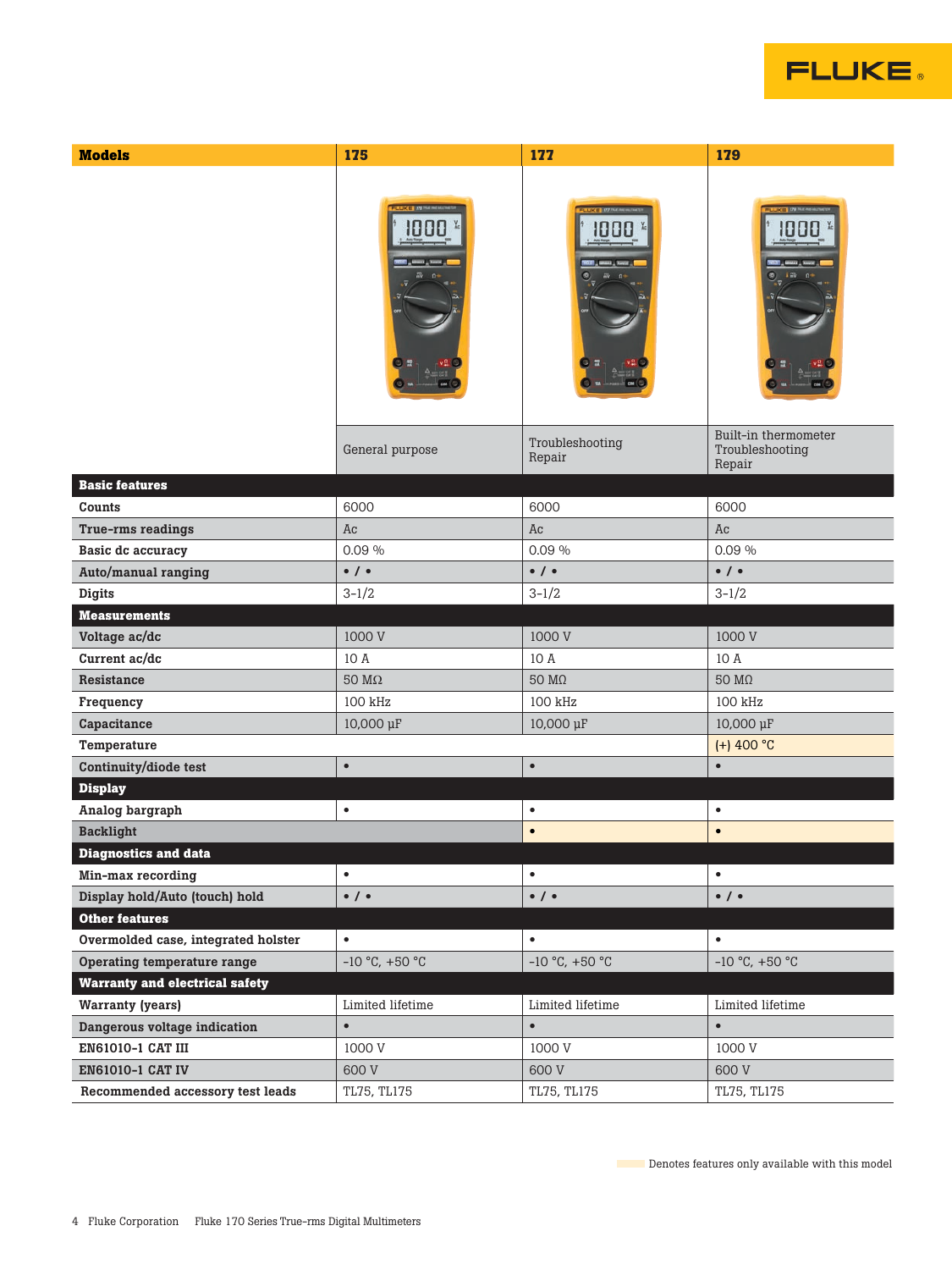# **FLUKE**

| <b>Models</b>                         | 175                   | 177                       | 179                                               |
|---------------------------------------|-----------------------|---------------------------|---------------------------------------------------|
|                                       |                       |                           |                                                   |
|                                       | General purpose       | Troubleshooting<br>Repair | Built-in thermometer<br>Troubleshooting<br>Repair |
| <b>Basic features</b>                 |                       |                           |                                                   |
| Counts                                | 6000                  | 6000                      | 6000                                              |
| True-rms readings                     | Ac                    | Āc                        | Āc                                                |
| Basic dc accuracy                     | 0.09%                 | 0.09%                     | 0.09%                                             |
| Auto/manual ranging                   | $\bullet$ / $\bullet$ | $\bullet$ / $\bullet$     | $\bullet$ / $\bullet$                             |
| <b>Digits</b>                         | $3 - 1/2$             | $3 - 1/2$                 | $3 - 1/2$                                         |
| <b>Measurements</b>                   |                       |                           |                                                   |
| Voltage ac/dc                         | 1000 V                | 1000 V                    | 1000 V                                            |
| Current ac/dc                         | 10 A                  | 10 A                      | 10 A                                              |
| Resistance                            | $50~\mathrm{M}\Omega$ | 50 $M\Omega$              | 50 $M\Omega$                                      |
| Frequency                             | 100 kHz               | 100 kHz                   | 100 kHz                                           |
| Capacitance                           | 10,000 µF             | 10,000 µF                 | 10,000 µF                                         |
| Temperature                           |                       |                           | $(+)$ 400 °C                                      |
| Continuity/diode test                 | $\bullet$             | $\bullet$                 | $\bullet$                                         |
| <b>Display</b>                        |                       |                           |                                                   |
| Analog bargraph                       | $\bullet$             | $\bullet$                 | $\bullet$                                         |
| <b>Backlight</b>                      |                       | $\bullet$                 | $\bullet$                                         |
| <b>Diagnostics and data</b>           |                       |                           |                                                   |
| Min-max recording                     | $\bullet$             | $\bullet$                 | $\bullet$                                         |
| Display hold/Auto (touch) hold        | $\bullet$ / $\bullet$ | $\bullet$ / $\bullet$     | $\bullet$ / $\bullet$                             |
| <b>Other features</b>                 |                       |                           |                                                   |
| Overmolded case, integrated holster   | $\bullet$             | $\bullet$                 | $\bullet$                                         |
| Operating temperature range           | $-10$ °C, $+50$ °C    | $-10$ °C, $+50$ °C        | $-10$ °C, $+50$ °C                                |
| <b>Warranty and electrical safety</b> |                       |                           |                                                   |
| <b>Warranty (years)</b>               | Limited lifetime      | Limited lifetime          | Limited lifetime                                  |
| Dangerous voltage indication          | $\bullet$             | $\bullet$                 | $\bullet$                                         |
| EN61010-1 CAT III                     | 1000 V                | 1000 V                    | 1000 V                                            |
| EN61010-1 CAT IV                      | 600 V                 | 600 V                     | 600 V                                             |
| Recommended accessory test leads      | TL75, TL175           | TL75, TL175               | TL75, TL175                                       |